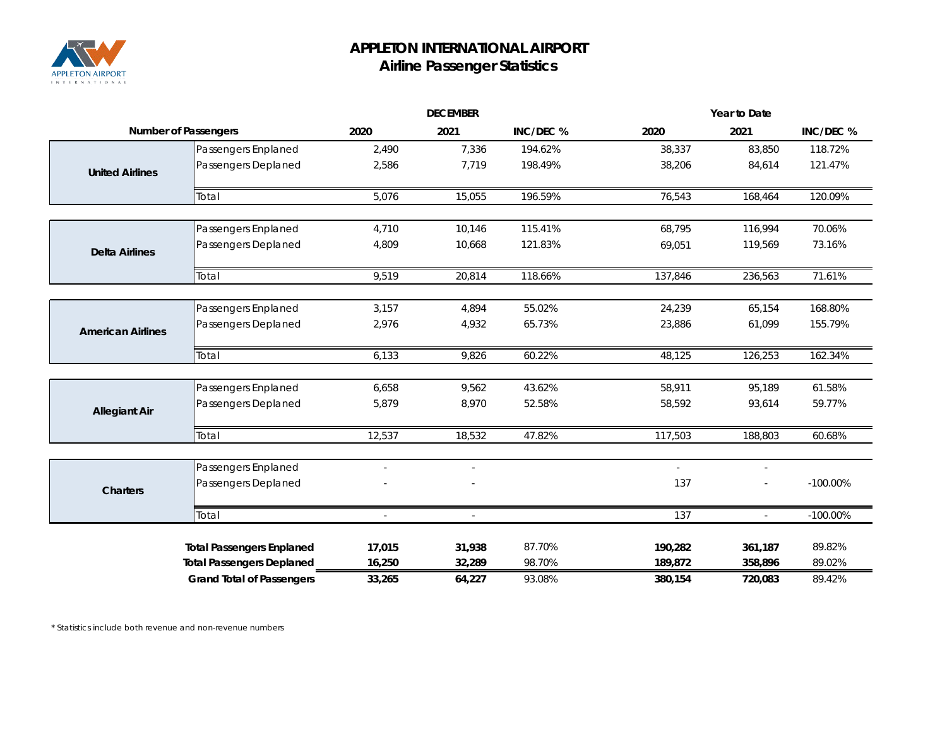

## **APPLETON INTERNATIONAL AIRPORT Airline Passenger Statistics**

|                             |                                            | <b>DECEMBER</b>          |                          | Year to Date     |                             |                  |                    |
|-----------------------------|--------------------------------------------|--------------------------|--------------------------|------------------|-----------------------------|------------------|--------------------|
| <b>Number of Passengers</b> |                                            | 2020                     | 2021                     | INC/DEC %        | 2020                        | 2021             | INC/DEC %          |
|                             | Passengers Enplaned                        | 2,490                    | 7,336                    | 194.62%          | 38,337                      | 83,850           | 118.72%            |
| <b>United Airlines</b>      | Passengers Deplaned                        | 2,586                    | 7,719                    | 198.49%          | 38,206                      | 84,614           | 121.47%            |
|                             | Total                                      | 5,076                    | 15,055                   | 196.59%          | 76,543                      | 168,464          | 120.09%            |
|                             | Passengers Enplaned                        | 4,710                    | 10,146                   | 115.41%          | 68,795                      | 116,994          | 70.06%             |
| <b>Delta Airlines</b>       | Passengers Deplaned                        | 4,809                    | 10,668                   | 121.83%          | 69,051                      | 119,569          | 73.16%             |
|                             | Total                                      | 9,519                    | 20,814                   | 118.66%          | 137,846                     | 236,563          | 71.61%             |
|                             |                                            |                          |                          |                  |                             |                  |                    |
| <b>American Airlines</b>    | Passengers Enplaned<br>Passengers Deplaned | 3,157<br>2,976           | 4,894<br>4,932           | 55.02%<br>65.73% | 24,239<br>23,886            | 65,154<br>61,099 | 168.80%<br>155.79% |
|                             | Total                                      | 6,133                    | 9,826                    | 60.22%           | 48,125                      | 126,253          | 162.34%            |
|                             |                                            |                          |                          |                  |                             |                  |                    |
|                             | Passengers Enplaned                        | 6,658                    | 9,562                    | 43.62%           | 58,911                      | 95,189           | 61.58%             |
| <b>Allegiant Air</b>        | Passengers Deplaned                        | 5,879                    | 8,970                    | 52.58%           | 58,592                      | 93,614           | 59.77%             |
|                             | Total                                      | 12,537                   | 18,532                   | 47.82%           | 117,503                     | 188,803          | 60.68%             |
|                             | Passengers Enplaned                        | $\overline{\phantom{a}}$ | $\overline{\phantom{a}}$ |                  | $\mathcal{L}_{\mathcal{A}}$ | $\frac{1}{2}$    |                    |
| <b>Charters</b>             | Passengers Deplaned                        |                          |                          |                  | 137                         |                  | $-100.00\%$        |
|                             | Total                                      | $\overline{a}$           | $\overline{a}$           |                  | 137                         | $\overline{a}$   | $-100.00\%$        |
|                             | <b>Total Passengers Enplaned</b>           | 17,015                   | 31,938                   | 87.70%           | 190,282                     | 361,187          | 89.82%             |
|                             | <b>Total Passengers Deplaned</b>           | 16,250                   | 32,289                   | 98.70%           | 189,872                     | 358,896          | 89.02%             |
|                             | <b>Grand Total of Passengers</b>           | 33,265                   | 64,227                   | 93.08%           | 380,154                     | 720,083          | 89.42%             |

*\* Statistics include both revenue and non-revenue numbers*